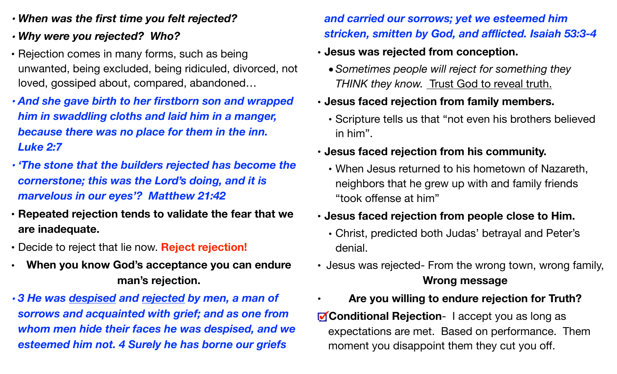- *• When was the first time you felt rejected?*
- *• Why were you rejected? Who?*
- Rejection comes in many forms, such as being unwanted, being excluded, being ridiculed, divorced, not loved, gossiped about, compared, abandoned…
- *• And she gave birth to her firstborn son and wrapped him in swaddling cloths and laid him in a manger, because there was no place for them in the inn. Luke 2:7*
- *• 'The stone that the builders rejected has become the cornerstone; this was the Lord's doing, and it is marvelous in our eyes'? Matthew 21:42*
- **• Repeated rejection tends to validate the fear that we are inadequate.**
- Decide to reject that lie now. **Reject rejection!**
- **• When you know God's acceptance you can endure man's rejection.**

*• 3 He was despised and rejected by men, a man of sorrows and acquainted with grief; and as one from whom men hide their faces he was despised, and we esteemed him not. 4 Surely he has borne our griefs* 

## *and carried our sorrows; yet we esteemed him stricken, smitten by God, and afflicted. Isaiah 53:3-4*

- **• Jesus was rejected from conception.** 
	- *•Sometimes people will reject for something they*  **THINK they know. Trust God to reveal truth.**
- **• Jesus faced rejection from family members.** 
	- Scripture tells us that "not even his brothers believed in him".
- **• Jesus faced rejection from his community.** 
	- When Jesus returned to his hometown of Nazareth, neighbors that he grew up with and family friends "took offense at him"
- **• Jesus faced rejection from people close to Him.** 
	- Christ, predicted both Judas' betrayal and Peter's denial.
- Jesus was rejected- From the wrong town, wrong family, **Wrong message**
- **Are you willing to endure rejection for Truth?**

**Conditional Rejection-** I accept you as long as expectations are met. Based on performance. Them moment you disappoint them they cut you off.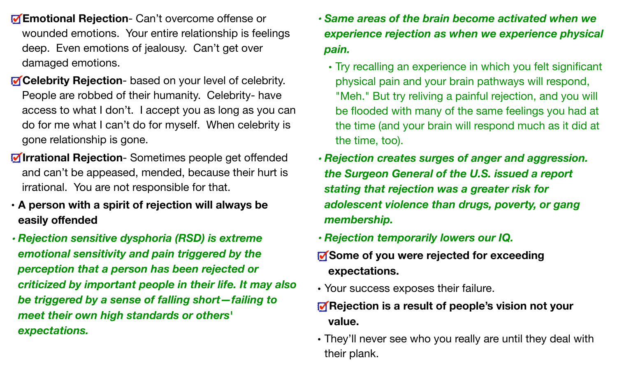- **Emotional Rejection** Can't overcome offense or wounded emotions. Your entire relationship is feelings deep. Even emotions of jealousy. Can't get over damaged emotions.
- **Celebrity Rejection** based on your level of celebrity. People are robbed of their humanity. Celebrity- have access to what I don't. I accept you as long as you can do for me what I can't do for myself. When celebrity is gone relationship is gone.
- **Irrational Rejection** Sometimes people get offended and can't be appeased, mended, because their hurt is irrational. You are not responsible for that.
- **• A person with a spirit of rejection will always be easily offended**
- *• Rejection sensitive dysphoria (RSD) is extreme emotional sensitivity and pain triggered by the perception that a person has been rejected or criticized by important people in their life. It may also be triggered by a sense of falling short—failing to meet their own high standards or others' expectations.*
- *• Same areas of the brain become activated when we experience rejection as when we experience physical pain.* 
	- Try recalling an experience in which you felt significant physical pain and your brain pathways will respond, "Meh." But try reliving a painful rejection, and you will be flooded with many of the same feelings you had at the time (and your brain will respond much as it did at the time, too).
- *• Rejection creates surges of anger and aggression. the Surgeon General of the U.S. issued a report stating that rejection was a greater risk for adolescent violence than drugs, poverty, or gang membership.*
- *• Rejection temporarily lowers our IQ.*
- **Some of you were rejected for exceeding expectations.**
- Your success exposes their failure.
- *M* Rejection is a result of people's vision not your **value.**
- They'll never see who you really are until they deal with their plank.